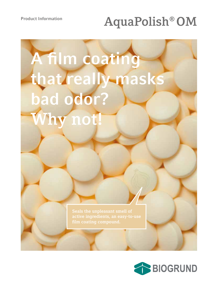**Product Information**

# **AquaPolish® OM**

# **A film coating that really masks bad odor? Why not!**

**Seals the unpleasant smell of**